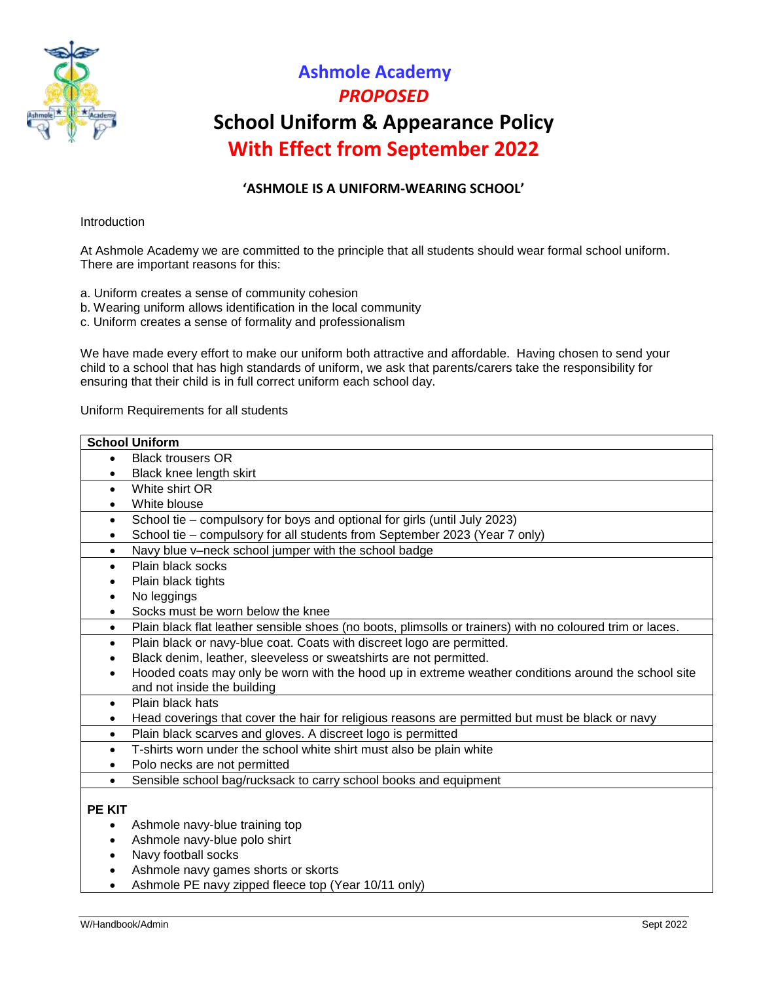

# **Ashmole Academy** *PROPOSED* **School Uniform & Appearance Policy With Effect from September 2022**

# **'ASHMOLE IS A UNIFORM-WEARING SCHOOL'**

#### Introduction

At Ashmole Academy we are committed to the principle that all students should wear formal school uniform. There are important reasons for this:

- a. Uniform creates a sense of community cohesion
- b. Wearing uniform allows identification in the local community
- c. Uniform creates a sense of formality and professionalism

We have made every effort to make our uniform both attractive and affordable. Having chosen to send your child to a school that has high standards of uniform, we ask that parents/carers take the responsibility for ensuring that their child is in full correct uniform each school day.

Uniform Requirements for all students

|               | <b>School Uniform</b>                                                                                     |
|---------------|-----------------------------------------------------------------------------------------------------------|
|               | <b>Black trousers OR</b>                                                                                  |
|               | Black knee length skirt                                                                                   |
| $\bullet$     | White shirt OR                                                                                            |
|               | White blouse                                                                                              |
| $\bullet$     | School tie - compulsory for boys and optional for girls (until July 2023)                                 |
|               | School tie - compulsory for all students from September 2023 (Year 7 only)                                |
| $\bullet$     | Navy blue v-neck school jumper with the school badge                                                      |
| $\bullet$     | Plain black socks                                                                                         |
|               | Plain black tights                                                                                        |
|               | No leggings                                                                                               |
|               | Socks must be worn below the knee                                                                         |
| $\bullet$     | Plain black flat leather sensible shoes (no boots, plimsolls or trainers) with no coloured trim or laces. |
| $\bullet$     | Plain black or navy-blue coat. Coats with discreet logo are permitted.                                    |
|               | Black denim, leather, sleeveless or sweatshirts are not permitted.                                        |
|               | Hooded coats may only be worn with the hood up in extreme weather conditions around the school site       |
|               | and not inside the building                                                                               |
| $\bullet$     | Plain black hats                                                                                          |
| $\bullet$     | Head coverings that cover the hair for religious reasons are permitted but must be black or navy          |
| $\bullet$     | Plain black scarves and gloves. A discreet logo is permitted                                              |
|               | T-shirts worn under the school white shirt must also be plain white                                       |
|               | Polo necks are not permitted                                                                              |
| $\bullet$     | Sensible school bag/rucksack to carry school books and equipment                                          |
| <b>PE KIT</b> |                                                                                                           |
|               | Ashmole navy-blue training top                                                                            |
|               | Ashmole navy-blue polo shirt                                                                              |
| $\bullet$     | Navy football socks                                                                                       |
|               | Ashmole navy games shorts or skorts                                                                       |
|               | Ashmole PE navy zipped fleece top (Year 10/11 only)                                                       |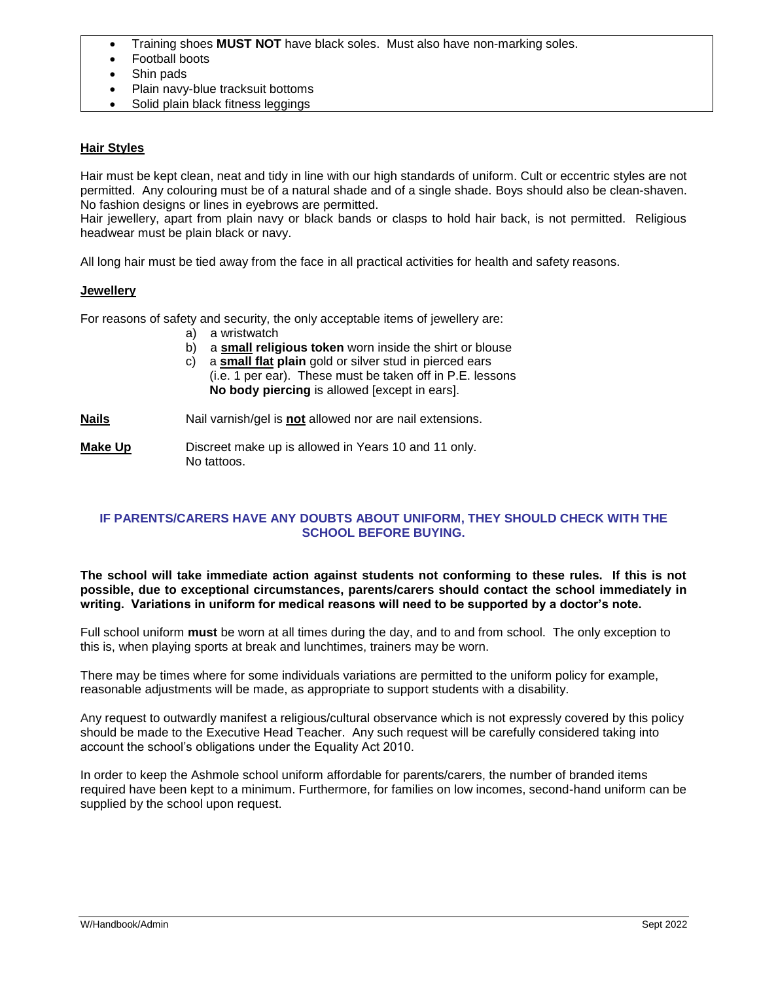- Training shoes **MUST NOT** have black soles. Must also have non-marking soles.
- Football boots
- Shin pads
- Plain navy-blue tracksuit bottoms
- Solid plain black fitness leggings

### **Hair Styles**

Hair must be kept clean, neat and tidy in line with our high standards of uniform. Cult or eccentric styles are not permitted. Any colouring must be of a natural shade and of a single shade. Boys should also be clean-shaven. No fashion designs or lines in eyebrows are permitted.

Hair jewellery, apart from plain navy or black bands or clasps to hold hair back, is not permitted. Religious headwear must be plain black or navy.

All long hair must be tied away from the face in all practical activities for health and safety reasons.

#### **Jewellery**

For reasons of safety and security, the only acceptable items of jewellery are:

- a) a wristwatch
- b) a **small religious token** worn inside the shirt or blouse
- c) a **small flat plain** gold or silver stud in pierced ears (i.e. 1 per ear). These must be taken off in P.E. lessons **No body piercing** is allowed [except in ears].

**Nails** Nail varnish/gel is **not** allowed nor are nail extensions.

**Make Up** Discreet make up is allowed in Years 10 and 11 only. No tattoos.

### **IF PARENTS/CARERS HAVE ANY DOUBTS ABOUT UNIFORM, THEY SHOULD CHECK WITH THE SCHOOL BEFORE BUYING.**

**The school will take immediate action against students not conforming to these rules. If this is not possible, due to exceptional circumstances, parents/carers should contact the school immediately in writing. Variations in uniform for medical reasons will need to be supported by a doctor's note.**

Full school uniform **must** be worn at all times during the day, and to and from school. The only exception to this is, when playing sports at break and lunchtimes, trainers may be worn.

There may be times where for some individuals variations are permitted to the uniform policy for example, reasonable adjustments will be made, as appropriate to support students with a disability.

Any request to outwardly manifest a religious/cultural observance which is not expressly covered by this policy should be made to the Executive Head Teacher. Any such request will be carefully considered taking into account the school's obligations under the Equality Act 2010.

In order to keep the Ashmole school uniform affordable for parents/carers, the number of branded items required have been kept to a minimum. Furthermore, for families on low incomes, second-hand uniform can be supplied by the school upon request.